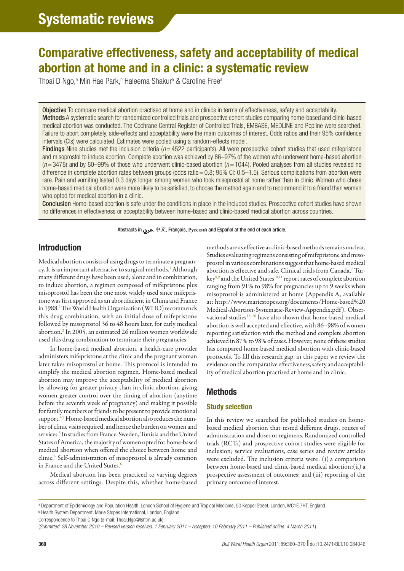# Comparative effectiveness, safety and acceptability of medical abortion at home and in a clinic: a systematic review

Thoai D Ngo,<sup>a</sup> Min Hae Park,<sup>b</sup> Haleema Shakur<sup>a</sup> & Caroline Free<sup>a</sup>

**Objective** To compare medical abortion practised at home and in clinics in terms of effectiveness, safety and acceptability. Methods A systematic search for randomized controlled trials and prospective cohort studies comparing home-based and clinic-based medical abortion was conducted. The Cochrane Central Register of Controlled Trials, EMBASE, MEDLINE and Popline were searched. Failure to abort completely, side-effects and acceptability were the main outcomes of interest. Odds ratios and their 95% confidence intervals (CIs) were calculated. Estimates were pooled using a random-effects model.

Findings Nine studies met the inclusion criteria ( $n=4522$  participants). All were prospective cohort studies that used mifepristone and misoprostol to induce abortion. Complete abortion was achieved by 86–97% of the women who underwent home-based abortion (*n*=3478) and by 80–99% of those who underwent clinic-based abortion (*n*=1044). Pooled analyses from all studies revealed no difference in complete abortion rates between groups (odds ratio = 0.8; 95% CI: 0.5–1.5). Serious complications from abortion were rare. Pain and vomiting lasted 0.3 days longer among women who took misoprostol at home rather than in clinic. Women who chose home-based medical abortion were more likely to be satisfied, to choose the method again and to recommend it to a friend than women who opted for medical abortion in a clinic.

Conclusion Home-based abortion is safe under the conditions in place in the included studies. Prospective cohort studies have shown no differences in effectiveness or acceptability between home-based and clinic-based medical abortion across countries.

Abstracts in عريب, 中文, Français, **Pусский** and Español at the end of each article.

# Introduction

Medical abortion consists of using drugs to terminate a pregnan-cy. It is an important alternative to surgical methods.<sup>[1](#page-9-0)</sup> Although many different drugs have been used, alone and in combination, to induce abortion, a regimen composed of mifepristone plus misoprostol has been the one most widely used since mifepristone was first approved as an abortifacient in China and France in 1988[.2](#page-9-1) The World Health Organization (WHO) recommends this drug combination, with an initial dose of mifepristone followed by misoprostol 36 to 48 hours later, for early medical abortion.[2](#page-9-1) In 2005, an estimated 26 million women worldwide used this drug combination to terminate their pregnancies.<sup>[3](#page-9-2)</sup>

In home-based medical abortion, a health-care provider administers mifepristone at the clinic and the pregnant woman later takes misoprostol at home. This protocol is intended to simplify the medical abortion regimen. Home-based medical abortion may improve the acceptability of medical abortion by allowing for greater privacy than in-clinic abortion, giving women greater control over the timing of abortion (anytime before the seventh week of pregnancy) and making it possible for family members or friends to be present to provide emotional support.<sup>4[,5](#page-9-4)</sup> Home-based medical abortion also reduces the number of clinic visits required, and hence the burden on women and services.<sup>[5](#page-9-4)</sup> In studies from France, Sweden, Tunisia and the United States of America, the majority of women opted for home-based medical abortion when offered the choice between home and clinic[.3](#page-9-2) Self-administration of misoprostol is already common in France and the United States.<sup>[6](#page-9-5)</sup>

Medical abortion has been practiced to varying degrees across different settings. Despite this, whether home-based

methods are as effective as clinic-based methods remains unclear. Studies evaluating regimens consisting of mifepristone and misoprostol in various combinations suggest that home-based medical abortion is effective and safe. Clinical trials from Canada[,7](#page-9-6) Tur-key<sup>8[,9](#page-10-1)</sup> and the United States<sup>10,[11](#page-10-3)</sup> report rates of complete abortion ranging from 91% to 98% for pregnancies up to 9 weeks when misoprostol is administered at home (Appendix A, available at: [http://www.mariestopes.org/documents/Home-based%20](http://www.mariestopes.org/documents/Home-based%20Medical-Abortion-Systematic-Review-Appendix.pdf) [Medical-Abortion-Systematic-Review-Appendix.pdf \)](http://www.mariestopes.org/documents/Home-based%20Medical-Abortion-Systematic-Review-Appendix.pdf). Observational studies $12-20$  have also shown that home-based medical abortion is well accepted and effective, with 86–98% of women reporting satisfaction with the method and complete abortion achieved in 87% to 98% of cases. However, none of these studies has compared home-based medical abortion with clinic-based protocols. To fill this research gap, in this paper we review the evidence on the comparative effectiveness, safety and acceptability of medical abortion practised at home and in clinic.

# Methods

# Study selection

In this review we searched for published studies on homebased medical abortion that tested different drugs, routes of administration and doses or regimens. Randomized controlled trials (RCTs) and prospective cohort studies were eligible for inclusion; service evaluations, case series and review articles were excluded. The inclusion criteria were: (i) a comparison between home-based and clinic-based medical abortion;(ii) a prospective assessment of outcomes; and (iii) reporting of the primary outcome of interest.

a Department of Epidemiology and Population Health, London School of Hygiene and Tropical Medicine, 50 Keppel Street, London, WC1E 7HT, England.

Correspondence to Thoai D Ngo (e-mail: Thoai.Ngo@lshtm.ac.uk).

<sup>&</sup>lt;sup>b</sup> Health System Department, Marie Stopes International, London, England.

<sup>(</sup>*Submitted: 28 November 2010 – Revised version received: 1 February 2011 – Accepted: 10 February 2011 – Published online: 4 March 2011* )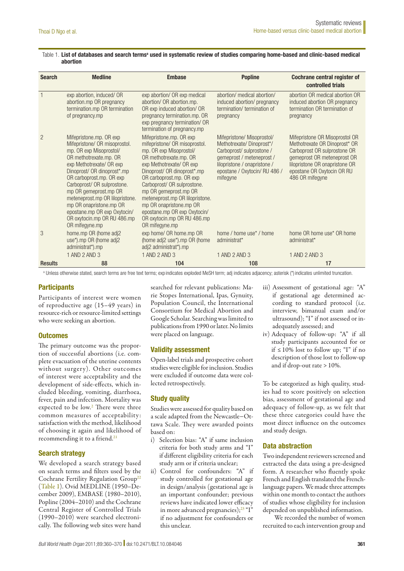| <b>Search</b>  | <b>Medline</b>                                                                                                                                                                                                                                                                                                                                                                                              | <b>Embase</b>                                                                                                                                                                                                                                                                                                                                                                                               | <b>Popline</b>                                                                                                                                                                                | <b>Cochrane central register of</b><br>controlled trials                                                                                                                                                          |
|----------------|-------------------------------------------------------------------------------------------------------------------------------------------------------------------------------------------------------------------------------------------------------------------------------------------------------------------------------------------------------------------------------------------------------------|-------------------------------------------------------------------------------------------------------------------------------------------------------------------------------------------------------------------------------------------------------------------------------------------------------------------------------------------------------------------------------------------------------------|-----------------------------------------------------------------------------------------------------------------------------------------------------------------------------------------------|-------------------------------------------------------------------------------------------------------------------------------------------------------------------------------------------------------------------|
|                | exp abortion, induced/ OR<br>abortion.mp OR pregnancy<br>termination.mp OR termination<br>of pregnancy.mp                                                                                                                                                                                                                                                                                                   | exp abortion/ OR exp medical<br>abortion/ OR abortion.mp.<br>OR exp induced abortion/ OR<br>pregnancy termination.mp. OR<br>exp pregnancy termination/ OR<br>termination of pregnancy.mp                                                                                                                                                                                                                    | abortion/ medical abortion/<br>induced abortion/ pregnancy<br>termination/ termination of<br>pregnancy                                                                                        | abortion OR medical abortion OR<br>induced abortion OR pregnancy<br>termination OR termination of<br>pregnancy                                                                                                    |
| $\overline{2}$ | Mifepristone.mp. OR exp<br>Mifepristone/ OR misoprostol.<br>mp. OR exp Misoprostol/<br>OR methotrexate.mp. OR<br>exp Methotrexate/ OR exp<br>Dinoprost/ OR dinoprost*.mp<br>OR carboprost.mp. OR exp<br>Carboprost/ OR sulprostone.<br>mp OR gemeprost.mp OR<br>meteneprost.mp OR lilopristone.<br>mp OR onapristone.mp OR<br>epostane.mp OR exp Oxytocin/<br>OR oxytocin.mp OR RU 486.mp<br>OR mifegyne.mp | Mifepristone.mp. OR exp<br>mifepristone/ OR misoprostol.<br>mp. OR exp Misoprostol/<br>OR methotrexate.mp. OR<br>exp Methotrexate/ OR exp<br>Dinoprost/ OR dinoprost*.mp<br>OR carboprost.mp. OR exp<br>Carboprost/ OR sulprostone.<br>mp OR gemeprost.mp OR<br>meteneprost.mp OR lilopristone.<br>mp OR onapristone.mp OR<br>epostane.mp OR exp Oxytocin/<br>OR oxytocin.mp OR RU 486.mp<br>OR mifegyne.mp | Mifepristone/ Misoprostol/<br>Methotrexate/Dinoprost*/<br>Carboprost/ sulprostone /<br>gemeprost / meteneprost /<br>lilopristone / onapristone /<br>epostane / Oxytocin/ RU 486 /<br>mifegyne | Mifepristone OR Misoprostol OR<br>Methotrexate OR Dinoprost* OR<br>Carboprost OR sulprostone OR<br>gemeprost OR meteneprost OR<br>lilopristone OR onapristone OR<br>epostane OR Oxytocin OR RU<br>486 OR mifegyne |
| 3              | home.mp OR (home adj2<br>use*).mp OR (home adj2<br>administrat*).mp                                                                                                                                                                                                                                                                                                                                         | exp home/ OR home.mp OR<br>(home adj2 use*).mp OR (home<br>adj2 administrat*).mp                                                                                                                                                                                                                                                                                                                            | home / home use* / home<br>administrat*                                                                                                                                                       | home OR home use* OR home<br>administrat*                                                                                                                                                                         |
|                | 1 AND 2 AND 3                                                                                                                                                                                                                                                                                                                                                                                               | 1 AND 2 AND 3                                                                                                                                                                                                                                                                                                                                                                                               | 1 AND 2 AND 3                                                                                                                                                                                 | 1 AND 2 AND 3                                                                                                                                                                                                     |
| <b>Results</b> | 88                                                                                                                                                                                                                                                                                                                                                                                                          | 104                                                                                                                                                                                                                                                                                                                                                                                                         | 108                                                                                                                                                                                           | 17                                                                                                                                                                                                                |

#### <span id="page-1-0"></span>Table 1. List of databases and search termsª used in systematic review of studies comparing home-based and clinic-based medical abortion

a Unless otherwise stated, search terms are free text terms; expindicates exploded MeSH term; adj indicates adjacency; asterisk (\*) indicates unlimited truncation.

## **Participants**

Participants of interest were women of reproductive age (15–49 years) in resource-rich or resource-limited settings who were seeking an abortion.

## **Outcomes**

The primary outcome was the proportion of successful abortions (i.e. complete evacuation of the uterine contents without surgery). Other outcomes of interest were acceptability and the development of side-effects, which included bleeding, vomiting, diarrhoea, fever, pain and infection. Mortality was expected to be low.<sup>[2](#page-9-1)</sup> There were three common measures of acceptability: satisfaction with the method, likelihood of choosing it again and likelihood of recommending it to a friend.<sup>21</sup>

## Search strategy

We developed a search strategy based on search terms and filters used by the Cochrane Fertility Regulation Group<sup>22</sup> [\(Table](#page-1-0) 1). Ovid MEDLINE (1950–December 2009), EMBASE (1980–2010), Popline (2004–2010) and the Cochrane Central Register of Controlled Trials (1990–2010) were searched electronically. The following web sites were hand

searched for relevant publications: Marie Stopes International, Ipas, Gynuity, Population Council, the International Consortium for Medical Abortion and Google Scholar. Searching was limited to publications from 1990 or later. No limits were placed on language.

#### Validity assessment

Open-label trials and prospective cohort studies were eligible for inclusion. Studies were excluded if outcome data were collected retrospectively.

#### Study quality

Studies were assessed for quality based on a scale adapted from the Newcastle−Ottawa Scale. They were awarded points based on:

- i) Selection bias: "A" if same inclusion criteria for both study arms and "I" if different eligibility criteria for each study arm or if criteria unclear;
- ii) Control for confounders: "A" if study controlled for gestational age in design/analysis (gestational age is an important confounder; previous reviews have indicated lower efficacy in more advanced pregnancies); $23 \text{ }^{\circ}$  $23 \text{ }^{\circ}$ I" if no adjustment for confounders or this unclear.
- iii) Assessment of gestational age: "A" if gestational age determined according to standard protocol (i.e. interview, bimanual exam and/or ultrasound); "I" if not assessed or inadequately assessed; and
- iv) Adequacy of follow-up: "A" if all study participants accounted for or if ≤10% lost to follow up; "I" if no description of those lost to follow-up and if drop-out rate >10%.

To be categorized as high quality, studies had to score positively on selection bias, assessment of gestational age and adequacy of follow-up, as we felt that these three categories could have the most direct influence on the outcomes and study design.

## Data abstraction

Two independent reviewers screened and extracted the data using a pre-designed form. A researcher who fluently spoke French and English translated the Frenchlanguage papers. We made three attempts within one month to contact the authors of studies whose eligibility for inclusion depended on unpublished information.

We recorded the number of women recruited to each intervention group and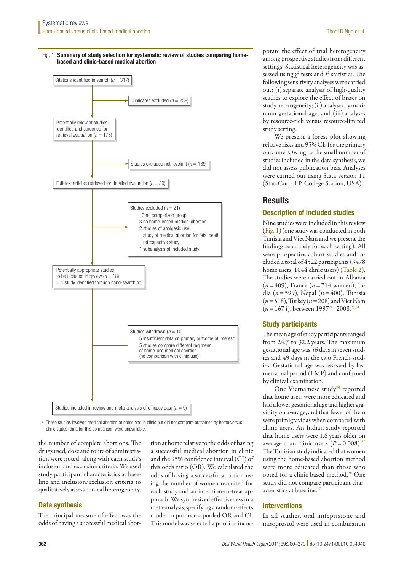<span id="page-2-0"></span>



a These studies involved medical abortion at home and in clinic but did not compare outcomes by home versus clinic status; data for this comparison were unavailable.

the number of complete abortions. The drugs used, dose and route of administration were noted, along with each study's inclusion and exclusion criteria. We used study participant characteristics at baseline and inclusion/exclusion criteria to qualitatively assess clinical heterogeneity.

# Data synthesis

The principal measure of effect was the odds of having a successful medical abortion at home relative to the odds of having a successful medical abortion in clinic and the 95% confidence interval (CI) of this odds ratio (OR). We calculated the odds of having a successful abortion using the number of women recruited for each study and an intention-to-treat approach. We synthesized effectiveness in a meta-analysis, specifying a random-effects model to produce a pooled OR and CI. This model was selected a priori to incorporate the effect of trial heterogeneity among prospective studies from different settings. Statistical heterogeneity was assessed using  $\chi^2$  tests and  $I^2$  statistics. The following sensitivity analyses were carried out: (i) separate analysis of high-quality studies to explore the effect of biases on study heterogeneity; (ii) analyses by maximum gestational age, and (iii) analyses by resource-rich versus resource-limited study setting.

We present a forest plot showing relative risks and 95% CIs for the primary outcome. Owing to the small number of studies included in the data synthesis, we did not assess publication bias. Analyses were carried out using Stata version 11 (StataCorp. LP, College Station, USA).

# **Results**

# Description of included studies

Nine studies were included in this review ([Fig.](#page-2-0) 1) (one study was conducted in both Tunisia and Viet Nam and we present the findings separately for each setting). All were prospective cohort studies and included a total of 4522 participants (3478 home users,  $1044$  clinic users) ([Table](#page-3-0) 2). The studies were carried out in Albania (*n*=409), France (*n*=714 women), India (*n*=599), Nepal (*n*=400), Tunisia (*n*=518), Turkey (*n*=208) and Viet Nam (*n* = 1674), between 1997<sup>[24](#page-10-9)</sup>-2008.<sup>25[,31](#page-10-11)</sup>

# Study participants

The mean age of study participants ranged from 24.7 to 32.2 years. The maximum gestational age was 56 days in seven studies and 49 days in the two French studies. Gestational age was assessed by last menstrual period (LMP) and confirmed by clinical examination.

One Vietnamese study<sup>30</sup> reported that home users were more educated and had a lower gestational age and higher gravidity on average, and that fewer of them were primigravidas when compared with clinic users. An Indian study reported that home users were 1.6 years older on average than clinic users  $(P=0.008).^{25}$  $(P=0.008).^{25}$  $(P=0.008).^{25}$ The Tunisian study indicated that women using the home-based abortion method were more educated than those who opted for a clinic-based method.<sup>28</sup> One study did not compare participant characteristics at baseline.<sup>27</sup>

# Interventions

In all studies, oral mifepristone and misoprostol were used in combination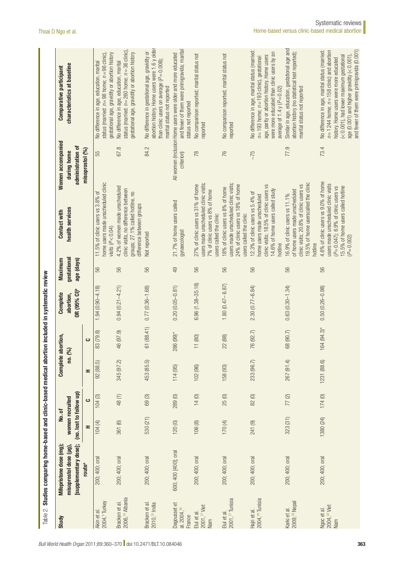<span id="page-3-0"></span>

| Study                                             | [supplementary dose];<br>Mifepristone dose (mg);<br>misoprostol dose (µg), | (no. lost to follow up)<br>women recruited<br>No.of |         | no. (%)<br>Complete al | bortion,      | OR (95% CI) <sup>b</sup><br>Complete<br>abortion, | gestational<br>Maximum<br>age (days) | health services<br>Contact with                                                                                                                                              | Women accompanied<br>administration of<br>during home | characteristics at baseline<br>Comparative participant                                                                                                                                                                                                                                    |
|---------------------------------------------------|----------------------------------------------------------------------------|-----------------------------------------------------|---------|------------------------|---------------|---------------------------------------------------|--------------------------------------|------------------------------------------------------------------------------------------------------------------------------------------------------------------------------|-------------------------------------------------------|-------------------------------------------------------------------------------------------------------------------------------------------------------------------------------------------------------------------------------------------------------------------------------------------|
|                                                   | route <sup>a</sup>                                                         | E                                                   | ပ       | E                      | ပ             |                                                   |                                      |                                                                                                                                                                              | misoprostol (%)                                       |                                                                                                                                                                                                                                                                                           |
| 2004, <sup>9</sup> Turkey<br>Akin et al.          | 200; 400; oral                                                             | 104 (4)                                             | 104 (3) | 92(88.5)               | 83 (79.8)     | $1.94(0.90 - 4.18)$                               | 56                                   | nome users made unscheduled clinic<br>11.5% of clinic users vs 3.8% of<br>visits $(P<0.04)$                                                                                  | 55                                                    | gestational age, gravidity or abortion history<br>status (married: $n = 98$ home; $n = 96$ clinic),<br>No difference in age, education, marital                                                                                                                                           |
| 2006, <sup>24</sup> Albania<br>Bracken et al      | 200; 400; oral                                                             | 361 (6)                                             | 48(1)   | 345 (97.2)             | 46 (97.9)     | $0.94(0.21 - 4.21)$                               | 56                                   | 4.2% of women made unscheduled<br>clinic visits, no difference between<br>groups; 27.1% called hotline, no<br>difference between groups                                      | 67.8                                                  | status (married: $n = 260$ home; $n = 36$ clinic)<br>gestational age, gravidity or abortion history<br>No difference in age, education, marital                                                                                                                                           |
| Bracken et al.<br>2010, <sup>25</sup> India       | 200; 400; oral                                                             | 530 (21)                                            | 69(3)   | 453 (85.5)             | 61 (88.41)    | $0.77(0.36 - 1.68)$                               | 56                                   | Not reported                                                                                                                                                                 | 84.2                                                  | abortion history. Home users were 1.6 y older<br>No difference in gestational age, gravidity or<br>than clinic users on average $(P=0.008)$ ;<br>marital status not reported                                                                                                              |
| Dagousset et<br>al. 2004, <sup>26</sup><br>France | 600; 400 [400]; oral                                                       | 120 (0)                                             | 289 (0) | 114 (95)               | 286 (99)*     | $0.20(0.05 - 0.81)$                               | 49                                   | 21.7% of home users called<br>gynaecologist                                                                                                                                  | criterion)                                            | and fewer of them were primigravida; marital<br>All women (inclusion Home users were older and more educated<br>status not reported                                                                                                                                                       |
| $200127$ Viet<br>Elul et al.<br>Nam               | 200; 400; oral                                                             | 106 (8)                                             | 14(0)   | 102 (96)               | 11 (80)       | $6.96(1.38 - 35.18)$                              | 56                                   | users made unscheduled clinic visits;<br>27% of clinic users vs 31% of home<br>7% of clinic users vs 8% of home<br>users called the clinic                                   | 78                                                    | No comparison reported; marital status not<br>reported                                                                                                                                                                                                                                    |
| 2001, $^{27}$ Tunisia<br>Elul et al.              | 200; 400; oral                                                             | 170(4)                                              | 25(0)   | 158 (93)               | 22 (88)       | $1.80(0.47 - 6.87)$                               | 56                                   | users made unscheduled clinic visits;<br>24% of clinic users vs 18% of home<br>8% of clinic users vs 8% of home<br>users called the clinic                                   | 76                                                    | No comparison reported; marital status not<br>reported                                                                                                                                                                                                                                    |
| 2004, <sup>28</sup> Tunisia<br>Hajri et al.       | 200; 400; oral                                                             | 241 (9)                                             | 82 (0)  | 233 (96.7)             | 76 (92.7)     | 2.30 (0.77-6.84)                                  | 56                                   | clinic visits; 18.5% of clinic users vs<br>14.6% of home users called study<br>2.3% of clinic users vs 5.4% of<br>nome users made unscheduled<br>hotline                     | ~22                                                   | No difference in age, marital status (married:<br>were more educated than clinic users by an<br>age, parity or abortion history. Home users<br>$n = 193$ home; $n = 193$ clinic), gestational<br>average of 1.4 y ( $P = 0.02$ )                                                          |
| 2009, <sup>29</sup> Nepal<br>Karki et al.         | 200; 400; oral                                                             | 323 (31)                                            | 77(2)   | 267 (91.4)             | 68 (90.7)     | $0.63(0.30 - 1.34)$                               | 56                                   | 9.5% of home userscalled the clinic<br>clinic visits; 20.8% of clinic users vs<br>of home users made unscheduled<br>16.9% of clinic users vs 11.1%<br>notline                | 77.9                                                  | Similar in age, education, gestational age and<br>abortion history (no statistical test reported);<br>marital status not reported                                                                                                                                                         |
| 2004, <sup>30</sup> Viet<br>Ngoc et al.<br>Nam    | 200; 400; oral                                                             | 1380 (24)                                           | 174 (0) | 1231 (88.6)            | $164(94.3)$ * | $0.50(0.26 - 0.98)$                               | 56                                   | 4.6% of clinic users vs 9.0% of home<br>users made unscheduled clinic visits<br>15.5% of home users called hotline<br>$(P = 0.047)$ ; 6.9% of clinic users vs<br>$P = 0.002$ | 73.4                                                  | and fewer of them were primigravida (0.001)<br>No difference in age, marital status (married:<br>$n = 1244$ home; $n = 158$ clinic) and abortion<br>age $(0.001)$ and higher gravidity $(< 0.001$ ),<br>(<0.001), had lower maximum gestational<br>history. Home users were more educated |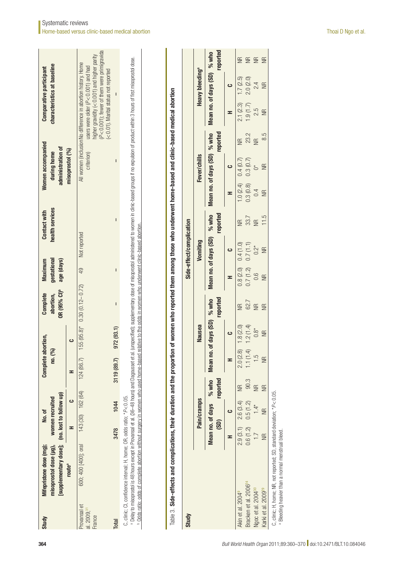| Study                              | (supplementary dose]; (no. lost to follow up)<br>nisoprostol dose (µg), women recruited<br>lifepristone dose (mg); | No. of |      | Complete abortion,<br>no. (%) |           | abortion, gestational<br>Complete Maximum<br>OR (95% CI) <sup>b</sup> age (days) | health services<br>Contact with | Women accompanied<br>administration of<br>during home | characteristics at baseline<br>Comparative participant                                                                                                                                                                            |
|------------------------------------|--------------------------------------------------------------------------------------------------------------------|--------|------|-------------------------------|-----------|----------------------------------------------------------------------------------|---------------------------------|-------------------------------------------------------|-----------------------------------------------------------------------------------------------------------------------------------------------------------------------------------------------------------------------------------|
|                                    | route <sup>a</sup>                                                                                                 |        |      |                               |           |                                                                                  |                                 | misoprostol (%)                                       |                                                                                                                                                                                                                                   |
| rovansal et<br>1.2009,31<br>France | 600; 400 [400]; oral 143 (30) 162 (64) 124 (86.7)                                                                  |        |      |                               |           | 155 $(95.8)$ * 0.30 $(0.12 - 0.72)$ 49 Not reported                              |                                 | criterion)                                            | (P<0.001); fewer of them were primigravida<br>$night(0.001)$ and higher parity<br>All women (inclusion No difference in abortion history. Home<br>users were older ( $P < 0.001$ ) and had<br><0.01). Marital status not reported |
| Total                              |                                                                                                                    | 3478   | 1044 | 3119 (89.7)                   | 972(93.1) |                                                                                  |                                 |                                                       |                                                                                                                                                                                                                                   |

<span id="page-4-0"></span>C, clinic; CI, confidence interval; H, home; OR, odds ratio; \*P<0.05.

a Deay to misoprostol is 48 hours except in Provansal et al. (36–48 hours) and Dagousset et al. (unspecified); supplementary dose of misoprostol administered to women in clinic-based groups if no expulsion of product whiti C, dinic; Cl, confidence interval; H, home; OR, odds ratio; \*P< 0.05.<br>ª Delay to misoprostol is 48 hours except in Provansal et al. (36–48 hours) and Dagousset et al. (36–48 lumspecified); supplementary dose of misoprostol ® Odds ratio: odds of complete abortion without surgery in women who used home-based relative to the odds in women who underwent clinic-based abortion.

Table 3. Side-effects and complications, their duration and the proportion of women who reported them among those who underwent home-based and clinic-based medical abortion

Table 3. Side-effects and complications, their duration and the proportion of women who reported them among those who underwent home-based and clinic-based medical abortion

| Study                                                                                                          |                  |                        |          |                             |                    |                   |                      | Side-effect/complication    |                   |                |                                              |          |                                     |                                   |                   |
|----------------------------------------------------------------------------------------------------------------|------------------|------------------------|----------|-----------------------------|--------------------|-------------------|----------------------|-----------------------------|-------------------|----------------|----------------------------------------------|----------|-------------------------------------|-----------------------------------|-------------------|
|                                                                                                                |                  | Pain/cramps            |          |                             | <b>Nausea</b>      |                   |                      | Vomiting                    |                   |                | Fever/chills                                 |          |                                     | <b>Heavy bleeding<sup>ª</sup></b> |                   |
|                                                                                                                | (3D)             | Mean no. of days % who | reported | Mean no. of days (SD) % who |                    | reported          |                      | Mean no. of days (SD) % who | reported          |                | Mean no. of days (SD) % who                  | reported | Mean no. of days (SD) % who         |                                   | reported          |
|                                                                                                                | I                |                        |          |                             |                    |                   |                      | ر<br>                       |                   |                |                                              |          | Ŧ                                   |                                   |                   |
| kin et al. 2004 <sup>9</sup>                                                                                   |                  | $2.9(3.1)$ $2.6(3.4)$  | €        | $2.0(2.8)$ 1.8 $(2.0)$      |                    | $\widetilde{\Xi}$ | $0.8(2.0)$ 0.4 (1.0) |                             | $E_{\rm}$         |                |                                              |          |                                     |                                   | $\frac{1}{2}$     |
| Bracken et al. 2006 <sup>24</sup>                                                                              |                  | $0.6(1.2)$ $0.5(1.2)$  | 90.3     | 1.1(1.4)                    |                    | 62.7              |                      |                             | 33.7              | 0.3(0.8)       | $1.0 (2.4) 0.4 (0.7)$<br>0.3 (0.8) 0.3 (0.7) |          | $2.1 (2.3)$<br>$1.9 (1.7)$<br>$2.5$ | $1.7(2.5)$<br>$2.0(2.0)$<br>$2.4$ | $\widetilde{\Xi}$ |
| Ngoc et al. 2004 <sup>30</sup>                                                                                 | $\overline{1}$ . | 14                     | €        | $\overline{5}$              | $1.2(1.4)$<br>0.8* | $\mathfrak{S}$    | $0.7(1.2)$<br>0.6    | $0.7(1.1)$<br>$0.2*$        | $\widetilde{\Xi}$ | 0.4            | Č                                            |          |                                     |                                   | $E \ncong E$      |
| Karki et al. 2009 <sup>29</sup>                                                                                |                  | ⊯                      |          | g                           | $\mathfrak{g}$     | $\mathfrak{g}$    | <b>NB</b>            |                             | 11.5              | $\mathfrak{S}$ | $\mathfrak{S}$                               | 8.5      | $\equiv$                            | $\equiv$                          |                   |
| Loo din the the the domestic din the din the theory is the ding of the ding of the theory of the ding of the d |                  |                        |          |                             |                    |                   |                      |                             |                   |                |                                              |          |                                     |                                   |                   |

C, clinic; H, home; NR, not reported; SD, standard deviation; \*P<0.05.<br>® Bleeding heavier than a normal menstrual bleed. C, clinic; H, home; NR, not reported; SD, standard deviation; \**P*<0.05. a Bleeding heavier than a normal menstrual bleed.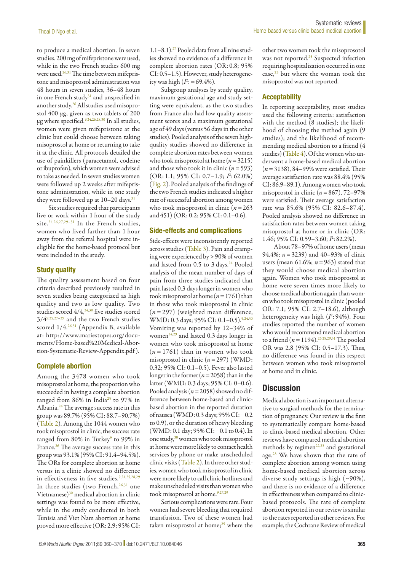to produce a medical abortion. In seven studies. 200 mg of mifepristone were used, while in the two French studies 600 mg were used.<sup>26,31</sup> The time between mifepristone and misoprostol administration was 48 hours in seven studies, 36–48 hours in one French study<sup>31</sup> and unspecified in another study.[26](#page-10-15) All studies used misoprostol 400 µg, given as two tablets of 200  $\mu$ g where specified.<sup>[9,](#page-10-1)[24](#page-10-9),[26](#page-10-15)[,28](#page-10-13)[,30](#page-10-12)</sup> In all studies, women were given mifepristone at the clinic but could choose between taking misoprostol at home or returning to take it at the clinic. All protocols detailed the use of painkillers (paracetamol, codeine or ibuprofen), which women were advised to take as needed. In seven studies women were followed up 2 weeks after mifepristone administration, while in one study they were followed up at 10–20 days.<sup>[31](#page-10-11)</sup>

Six studies required that participants live or work within 1 hour of the study site.<sup>[24,](#page-10-9)[26](#page-10-15),[27](#page-10-14),29-[31](#page-10-11)</sup> In the French studies, women who lived farther than 1 hour away from the referral hospital were ineligible for the home-based protocol but were included in the study.

## Study quality

The quality assessment based on four criteria described previously resulted in seven studies being categorized as high quality and two as low quality. Two studies scored  $4/4$ ,  $^{24,30}$  five studies scored 3/4[9](#page-10-1),[25,](#page-10-10)[27–](#page-10-14)[29](#page-10-16) and the two French studies scored  $1/4$ .<sup>[26,](#page-10-15)31</sup> (Appendix B, available at: [http://www.mariestopes.org/docu](http://www.mariestopes.org/documents/Home-based%20Medical-Abortion-Systematic-Review-Appendix.pdf)[ments/Home-based%20Medical-Abor](http://www.mariestopes.org/documents/Home-based%20Medical-Abortion-Systematic-Review-Appendix.pdf)[tion-Systematic-Review-Appendix.pdf \)](http://www.mariestopes.org/documents/Home-based%20Medical-Abortion-Systematic-Review-Appendix.pdf).

#### Complete abortion

Among the 3478 women who took misoprostol at home, the proportion who succeeded in having a complete abortion ranged from 86% in India<sup>25</sup> to 97% in Albania.[24](#page-10-9) The average success rate in this group was 89.7% (95% CI: 88.7–90.7%) ([Table](#page-3-0) 2). Among the 1044 women who took misoprostol in clinic, the success rate ranged from 80% in Turkey<sup>[9](#page-10-1)</sup> to 99% in France.<sup>[26](#page-10-15)</sup> The average success rate in this group was 93.1% (95% CI: 91.4–94.5%). The ORs for complete abortion at home versus in a clinic showed no difference in effectiveness in five studies.<sup>[9,](#page-10-1)[24](#page-10-9)[,25](#page-10-10)[,28](#page-10-13),[29](#page-10-16)</sup> In three studies (two French, $26,31$  $26,31$  one Vietnamese)<sup>[30](#page-10-12)</sup> medical abortion in clinic settings was found to be more effective, while in the study conducted in both Tunisia and Viet Nam abortion at home proved more effective (OR: 2.9; 95% CI:

1.1–8.1).<sup>27</sup> Pooled data from all nine studies showed no evidence of a difference in complete abortion rates (OR: 0.8; 95% CI: 0.5–1.5). However, study heterogeneity was high (*I*<sup>2</sup>: = 69.4%).

Subgroup analyses by study quality, maximum gestational age and study setting were equivalent, as the two studies from France also had low quality assessment scores and a maximum gestational age of 49 days (versus 56 days in the other studies). Pooled analysis of the seven highquality studies showed no difference in complete abortion rates between women who took misoprostol at home (*n*=3215) and those who took it in clinic  $(n=593)$ (OR: 1.1; 95% CI: 0.7–1.9; *I*<sup>2</sup>:62.0%) ([Fig.](#page-6-0) 2). Pooled analysis of the findings of the two French studies indicated a higher rate of successful abortion among women who took misoprostol in clinic (*n*=263 and 451) (OR: 0.2; 95% CI: 0.1–0.6).

#### Side-effects and complications

Side-effects were inconsistently reported across studies ([Table](#page-4-0) 3). Pain and cramping were experienced by >90% of women and lasted from 0.5 to 3 days.<sup>24</sup> Pooled analysis of the mean number of days of pain from three studies indicated that pain lasted 0.3 days longer in women who took misoprostol at home  $(n=1761)$  than in those who took misoprostol in clinic (*n* = 297) (weighted mean difference, WMD: 0.3 days; 95% CI: 0.1-0.5).<sup>[9,](#page-10-1)[24,](#page-10-9)[30](#page-10-12)</sup> Vomiting was reported by 12–34% of women<sup>24,29</sup> and lasted 0.3 days longer in women who took misoprostol at home  $(n = 1761)$  than in women who took misoprostol in clinic (*n*=297) (WMD: 0.32; 95% CI: 0.1–0.5). Fever also lasted longer in the former (*n*=2058) than in the latter (WMD: 0.3 days; 95% CI: 0–0.6). Pooled analysis (*n*=2058) showed no difference between home-based and clinicbased abortion in the reported duration of nausea (WMD: 0.3 days; 95% CI: −0.2 to 0.9), or the duration of heavy bleeding (WMD: 0.1 day; 95% CI: −0.1 to 0.4). In one study,[30](#page-10-12) women who took misoprostol at home were more likely to contact health services by phone or make unscheduled clinic visits ([Table](#page-3-0) 2). In three other studies, women who took misoprostol in clinic were more likely to call clinic hotlines and make unscheduled visits than women who took misoprostol at home.<sup>[9,](#page-10-1)[27](#page-10-14),[29](#page-10-16)</sup>

Serious complications were rare. Four women had severe bleeding that required transfusion. Two of these women had taken misoprostol at home; $29$  where the other two women took the misoprosotol was not reported.<sup>[25](#page-10-10)</sup> Suspected infection requiring hospitalization occurred in one case, $25$  but where the woman took the misoprostol was not reported.

#### **Acceptability**

In reporting acceptability, most studies used the following criteria: satisfaction with the method (8 studies); the likelihood of choosing the method again (9 studies); and the likelihood of recommending medical abortion to a friend (4 studies) [\(Table](#page-6-1) 4). Of the women who underwent a home-based medical abortion (*n*=3138), 84–99% were satisfied. Their average satisfaction rate was 88.4% (95% CI: 86.9–89.1). Among women who took misoprostol in clinic (*n*=867), 72–97% were satisfied. Their average satisfaction rate was 85.6% (95% CI: 82.6–87.4). Pooled analysis showed no difference in satisfaction rates between women taking misoprostol at home or in clinic (OR: 1.46; 95% CI: 0.59–3.60; *I*<sup>2</sup>: 82.2%).

About 78–97% of home users (mean 94.4%; *n*=3239) and 40–93% of clinic users (mean 61.6%; *n*=963) stated that they would choose medical abortion again. Women who took misoprostol at home were seven times more likely to choose medical abortion again than women who took misoprostol in clinic (pooled OR: 7.1; 95% CI: 2.7–18.6), although heterogeneity was high (*I*<sup>2</sup>: 94%). Four studies reported the number of women who would recommend medical abortion to a friend  $(n=1194)$ .<sup>26[,28](#page-10-13)[,29,](#page-10-16)31</sup> The pooled OR was 2.8 (95% CI: 0.5–17.3). Thus, no difference was found in this respect between women who took misoprostol at home and in clinic.

# **Discussion**

Medical abortion is an important alternative to surgical methods for the termination of pregnancy. Our review is the first to systematically compare home-based to clinic-based medical abortion. Other reviews have compared medical abortion methods by regimen $22,23$  and gestational age.<sup>23</sup> We have shown that the rate of complete abortion among women using home-based medical abortion across diverse study settings is high  $(\sim 90\%)$ , and there is no evidence of a difference in effectiveness when compared to clinicbased protocols. The rate of complete abortion reported in our review is similar to the rates reported in other reviews. For example, the Cochrane Review of medical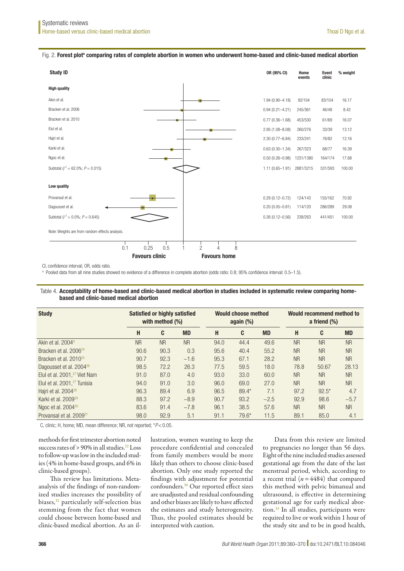#### <span id="page-6-0"></span>Fig. 2. Forest plot<sup>a</sup> comparing rates of complete abortion in women who underwent home-based and clinic-based medical abortion



CI, confidence interval; OR, odds ratio.

<sup>a</sup> Pooled data from all nine studies showed no evidence of a difference in complete abortion (odds ratio: 0.8; 95% confidence interval: 0.5–1.5).

| <b>Study</b>                             | <b>Satisfied or highly satisfied</b> | with method $(\%)$ |           |      | <b>Would choose method</b><br>again $(\%)$ |           |           | Would recommend method to<br>a friend $(\%)$ |           |
|------------------------------------------|--------------------------------------|--------------------|-----------|------|--------------------------------------------|-----------|-----------|----------------------------------------------|-----------|
|                                          | н                                    | C                  | <b>MD</b> | Н    | C                                          | <b>MD</b> | Н         | C                                            | <b>MD</b> |
| Akin et al. $20049$                      | <b>NR</b>                            | <b>NR</b>          | <b>NR</b> | 94.0 | 44.4                                       | 49.6      | <b>NR</b> | <b>NR</b>                                    | <b>NR</b> |
| Bracken et al. 2006 <sup>24</sup>        | 90.6                                 | 90.3               | 0.3       | 95.6 | 40.4                                       | 55.2      | <b>NR</b> | <b>NR</b>                                    | <b>NR</b> |
| Bracken et al. 2010 <sup>25</sup>        | 90.7                                 | 92.3               | $-1.6$    | 95.3 | 67.1                                       | 28.2      | <b>NR</b> | <b>NR</b>                                    | <b>NR</b> |
| Dagousset et al. 2004 <sup>26</sup>      | 98.5                                 | 72.2               | 26.3      | 77.5 | 59.5                                       | 18.0      | 78.8      | 50.67                                        | 28.13     |
| Elul et al. 2001, <sup>27</sup> Viet Nam | 91.0                                 | 87.0               | 4.0       | 93.0 | 33.0                                       | 60.0      | <b>NR</b> | <b>NR</b>                                    | <b>NR</b> |
| Elul et al. 2001, <sup>27</sup> Tunisia  | 94.0                                 | 91.0               | 3.0       | 96.0 | 69.0                                       | 27.0      | <b>NR</b> | <b>NR</b>                                    | <b>NR</b> |
| Hajri et al. 2004 <sup>28</sup>          | 96.3                                 | 89.4               | 6.9       | 96.5 | $89.4*$                                    | 7.1       | 97.2      | $92.5*$                                      | 4.7       |
| Karki et al. 2009 <sup>29</sup>          | 88.3                                 | 97.2               | $-8.9$    | 90.7 | 93.2                                       | $-2.5$    | 92.9      | 98.6                                         | $-5.7$    |
| Ngoc et al. 2004 <sup>30</sup>           | 83.6                                 | 91.4               | $-7.8$    | 96.1 | 38.5                                       | 57.6      | <b>NR</b> | <b>NR</b>                                    | <b>NR</b> |
| Provansal et al. 2009 <sup>31</sup>      | 98.0                                 | 92.9               | 5.1       | 91.1 | $79.6*$                                    | 11.5      | 89.1      | 85.0                                         | 4.1       |

<span id="page-6-1"></span>Table 4. Acceptability of home-based and clinic-based medical abortion in studies included in systematic review comparing homebased and clinic-based medical abortion

C, clinic; H, home; MD, mean difference; NR, not reported; \**P*<0.05.

methods for first trimester abortion noted success rates of  $>90\%$  in all studies.<sup>22</sup> Loss to follow-up was low in the included studies (4% in home-based groups, and 6% in clinic-based groups).

This review has limitations. Metaanalysis of the findings of non-randomized studies increases the possibility of biases,<sup>[32](#page-10-17)</sup> particularly self-selection bias stemming from the fact that women could choose between home-based and clinic-based medical abortion. As an illustration, women wanting to keep the procedure confidential and concealed from family members would be more likely than others to choose clinic-based abortion. Only one study reported the findings with adjustment for potential confounders[.30](#page-10-12) Our reported effect sizes are unadjusted and residual confounding and other biases are likely to have affected the estimates and study heterogeneity. Thus, the pooled estimates should be interpreted with caution.

Data from this review are limited to pregnancies no longer than 56 days. Eight of the nine included studies assessed gestational age from the date of the last menstrual period, which, according to a recent trial (*n*=4484) that compared this method with pelvic bimanual and ultrasound, is effective in determining gestational age for early medical abortion.[33](#page-10-18) In all studies, participants were required to live or work within 1 hour of the study site and to be in good health,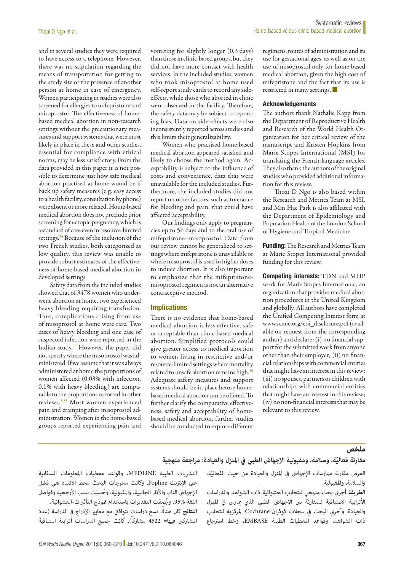and in several studies they were required to have access to a telephone. However, there was no stipulation regarding the means of transportation for getting to the study site or the presence of another person at home in case of emergency. Women participating in studies were also screened for allergies to mifepristone and misoprostol. The effectiveness of homebased medical abortion in non-research settings without the precautionary measures and support systems that were most likely in place in these and other studies, essential for compliance with ethical norms, may be less satisfactory. From the data provided in this paper it is not possible to determine just how safe medical abortion practised at home would be if back up safety measures (e.g. easy access to a health facility, consultation by phone) were absent or more relaxed. Home-based medical abortion does not preclude prior screening for ectopic pregnancy, which is a standard of care even in resource-limited settings.<sup>34</sup> Because of the inclusion of the two French studies, both categorized as low quality, this review was unable to provide robust estimates of the effectiveness of home-based medical abortion in developed settings.

Safety data from the included studies showed that of 3478 women who underwent abortion at home, two experienced heavy bleeding requiring transfusion. Thus, complications arising from use of misoprostol at home were rare. Two cases of heavy bleeding and one case of suspected infection were reported in the Indian study[.25](#page-10-10) However, the paper did not specify where the misoprostol was administered. If we assume that it was always administered at home the proportions of women affected (0.03% with infection, 0.1% with heavy bleeding) are comparable to the proportions reported in other reviews.[3](#page-9-2)[,35](#page-10-20) Most women experienced pain and cramping after misoprostol administration. Women in the home-based groups reported experiencing pain and

vomiting for slightly longer (0.3 days) than those in clinic-based groups, but they did not have more contact with health services. In the included studies, women who took misoprostol at home used self-report study cards to record any sideeffects, while those who aborted in clinic were observed in the facility. Therefore, the safety data may be subject to reporting bias. Data on side-effects were also inconsistently reported across studies and this limits their generalizability.

Women who practised home-based medical abortion appeared satisfied and likely to choose the method again. Acceptability is subject to the influence of costs and convenience, data that were unavailable for the included studies. Furthermore, the included studies did not report on other factors, such as tolerance for bleeding and pain, that could have affected acceptability.

Our findings only apply to pregnancies up to 56 days and to the oral use of mifepristone–misoprostol. Data from our review cannot be generalized to settings where mifepristone is unavailable or where misoprostol is used in higher doses to induce abortion. It is also important to emphasize that the mifepristonemisoprostol regimen is not an alternative contraceptive method.

## Implications

There is no evidence that home-based medical abortion is less effective, safe or acceptable than clinic-based medical abortion. Simplified protocols could give greater access to medical abortion to women living in restrictive and/or resource-limited settings where mortality related to unsafe abortion remains high.<sup>[36](#page-10-21)</sup> Adequate safety measures and support systems should be in place before homebased medical abortion can be offered. To further clarify the comparative effectiveness, safety and acceptability of homebased medical abortion, further studies should be conducted to explore different

regimens, routes of administration and its use for gestational ages, as well as on the use of misoprostol only for home-based medical abortion, given the high cost of mifepristone and the fact that its use is restricted in many settings. ■

#### **Acknowledgements**

The authors thank Nathalie Kapp from the Department of Reproductive Health and Research of the World Health Organization for her critical review of the manuscript and Kristen Hopkins from Marie Stopes International (MSI) for translating the French-language articles. They also thank the authors of the original studies who provided additional information for this review.

Thoai D Ngo is also based within the Research and Metrics Team at MSI, and Min Hae Park is also affiliated with the Department of Epidemiology and Population Health of the London School of Hygiene and Tropical Medicine.

Funding: The Research and Metrics Team at Marie Stopes International provided funding for this review.

Competing interests: TDN and MHP work for Marie Stopes International, an organization that provides medical abortion procedures in the United Kingdom and globally. All authors have completed the Unified Competing Interest form at [www.icmje.org/coi\\_disclosure.pdf](http://www.icmje.org/coi_disclosure.pdf) (available on request from the corresponding author) and declare: (i) no financial support for the submitted work from anyone other than their employer; (ii) no financial relationships with commercial entities that might have an interest in this review; (iii) no spouses, partners or children with relationships with commercial entities that might have an interest in this review; (iv) no non-financial interests that may be relevant to this review.

## **ملخص**

## **ّ مقارنة فعالية، وسالمة، ومقبولية اإلجهاض الطبي يف املنزل والعيادة: مراجعة منهجية**

الغرض مقارنة ممارسات الإجهاض في المنزل والعيادة من حيث الفعاليّة، والسالمة، واملقبولية.

**الطريقة** أجري بحث منهجي للتجارب العشوائية ذات الشواهد والدراسات الأترابية الاستباقية للمقارنة بين الإجهاض الطبي الذي مارس في المنزل والعيادة. وأجري البحث يف سجالت كوكران Cochrane املركزية للتجارب ذات الشواهد، وقواعد املعطيات الطبية EMBASE، وخط اسرتجاع

النشريات الطبية MEDLINE، وقواعد معطيات المعلومات السكانية عىل اإلنرتنت Popline. وكانت مخرجات البحث محط االنتباه هي فشل الإجهاض التام، والآثار الجانبية، والمقبولية. وحُسبَت نسب الأرجحية وفواصل الثقة 95%. وجُمعَت التقديرات باستخدام مُوذج التأثيرات-العشوائية. ا**لنتائج** كان هناك تسع دراسات تتوافق مع معايير الإدراج في الدراسة (عدد املشاركني فيها= 4522 مشاركاً(. كانت جميع الدراسات أترابية استباقية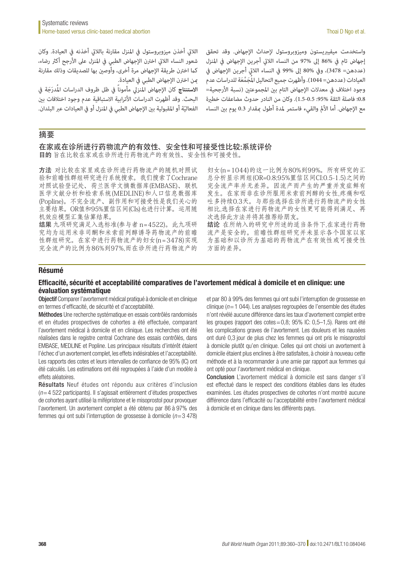الاليت أخذن ميزوبروستول يف املنزل مقارنة بالاليت أخذنه يف العيادة. وكان شعور النساء اللاتي اخترن الإجهاض الطبي في المنزل على الأرجح أكثر رضاء، كما اخترن طريقة الإجهاض مرة أخرى، وأوصين بها للصديقات وذلك مقارنة من اخترن الإجهاض الطبي في العيادة.

الا**ستنتاج** كان الإجهاض المنزلي مأموناً في ظل ظروف الدراسات المُدرَجَة في البحث. وقد أظهرت الدراسات األترابية االستباقية عدم وجود اختالفات بني ّ الفعالية أو املقبولية بني اإلجهاض الطبي يف املنزل أو يف العيادات عرب البلدان. واستخدمت ميفيربيستون وميزوبروستول إلحداث اإلجهاض. وقد تحقق إجهاض تام يف 86% إىل 97% من النساء الاليت أجرين اإلجهاض يف املنزل )عددهن= 3478(، ويف 80% إىل 99% يف النساء الاليت أجرين اإلجهاض يف العيادات (عددهن= 1044). وأظهرت جميع التحاليل المُجَمَّعَة للدراسات عدم وجود اختلاف في معدلات الإجهاض التام بين المجموعتين (نسبة الأرجحية= 0.8؛ فاصلة الثقة :95% 1.5-0.5(. وكان من النادر حدوث مضاعفات خطرية مع الإجهاض. أما الألم والقيء فاستمر لمدة أطول مقدار 0.3 يوم بين النساء

# 摘要

# 在家或在诊所进行药物流产的有效性、安全性和可接受性比较:系统评价

目的 旨在比较在家或在诊所进行药物流产的有效性、安全性和可接受性。

方法 对比较在家里或在诊所进行药物流产的随机对照试 验和前瞻性群组研究进行系统搜索。我们搜索了Cochrane 对照试验登记处、荷兰医学文摘数据库(EMBASE)、联机 医学文献分析和检索系统(MEDLINE)和人口信息数据库 (Popline)。不完全流产、副作用和可接受性是我们关心的 主要结果。OR值和95%置信区间(CIs)也进行计算。运用随 机效应模型汇集估算结果。

结果 九项研究满足入选标准(参与者 n=4522)。此九项研 究均为运用米非司酮和米索前列醇诱导药物流产的前瞻 性群组研究。在家中进行药物流产的妇女(n=3478)实现 完全流产的比例为86%到97%,而在诊所进行药物流产的 妇女(n =1044)的这一比例为80%到99%。所有研究的汇 总分析显示两组(OR=0.8;95%置信区间CI:0.5-1.5)之间的 完全流产率并无差异。因流产而产生的严重并发症鲜有 发生。在家而非在诊所服用米索前列醇的女性,疼痛和呕 吐多持续0.3天。与那些选择在诊所进行药物流产的女性 相比,选择在家进行药物流产的女性更可能得到满足、再 次选择此方法并将其推荐给朋友。

结论 在所纳入的研究中所述的适当条件下,在家进行药物 流产是安全的。前瞻性群组研究并未显示各个国家以家 为基础和以诊所为基础的药物流产在有效性或可接受性 方面的差异。

## Résumé

## Efficacité, sécurité et acceptabilité comparatives de l'avortement médical à domicile et en clinique: une évaluation systématique

Objectif Comparer l'avortement médical pratiqué à domicile et en clinique en termes d'efficacité, de sécurité et d'acceptabilité.

Méthodes Une recherche systématique en essais contrôlés randomisés et en études prospectives de cohortes a été effectuée, comparant l'avortement médical à domicile et en clinique. Les recherches ont été réalisées dans le registre central Cochrane des essais contrôlés, dans EMBASE, MEDLINE et Popline. Les principaux résultats d'intérêt étaient l'échec d'un avortement complet, les effets indésirables et l'acceptabilité. Les rapports des cotes et leurs intervalles de confiance de 95% (IC) ont été calculés. Les estimations ont été regroupées à l'aide d'un modèle à effets aléatoires.

Résultats Neuf études ont répondu aux critères d'inclusion (*n*=4 522 participants). Il s'agissait entièrement d'études prospectives de cohortes ayant utilisé la mifépristone et le misoprostol pour provoquer l'avortement. Un avortement complet a été obtenu par 86 à 97% des femmes qui ont subi l'interruption de grossesse à domicile (*n*=3 478) et par 80 à 99% des femmes qui ont subi l'interruption de grossesse en clinique (*n*=1 044). Les analyses regroupées de l'ensemble des études n'ont révélé aucune différence dans les taux d'avortement complet entre les groupes (rapport des cotes=0,8; 95% IC: 0,5–1,5). Rares ont été les complications graves de l'avortement. Les douleurs et les nausées ont duré 0,3 jour de plus chez les femmes qui ont pris le misoprostol à domicile plutôt qu'en clinique. Celles qui ont choisi un avortement à domicile étaient plus enclines à être satisfaites, à choisir à nouveau cette méthode et à la recommander à une amie par rapport aux femmes qui ont opté pour l'avortement médical en clinique.

Conclusion L'avortement médical à domicile est sans danger s'il est effectué dans le respect des conditions établies dans les études examinées. Les études prospectives de cohortes n'ont montré aucune différence dans l'efficacité ou l'acceptabilité entre l'avortement médical à domicile et en clinique dans les différents pays.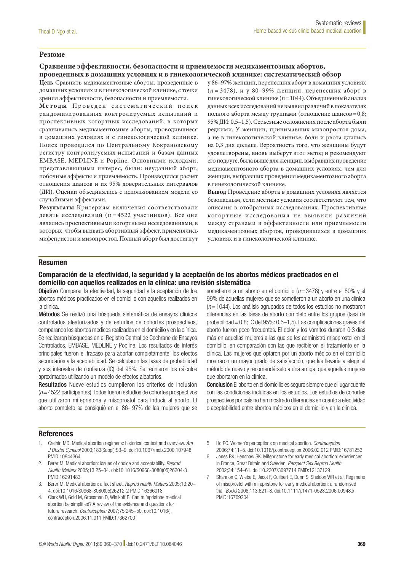#### **Резюме**

## **Сравнение эффективности, безопасности и приемлемости медикаментозных абортов, проведенных в домашних условиях и в гинекологической клинике: систематический обзор**

**Цель** Сравнить медикаментозные аборты, проведенные в домашних условиях и в гинекологической клинике, с точки зрения эффективности, безопасности и приемлемости.

Методы Проведен систематический поиск рандомизированных контролируемых испытаний и проспективных когортных исследований, в которых сравнивались медикаментозные аборты, проводившиеся в домашних условиях и с гинекологической клинике. Поиск проводился по Центральному Кокрановскому регистру контролируемых испытаний и базам данных EMBASE, MEDLINE и Popline. Основными исходами, представляющими интерес, были: неудачный аборт, побочные эффекты и приемлемость. Производился расчет отношения шансов и их 95% доверительных интервалов (ДИ). Оценки объединялись с использованием модели со случайными эффектами.

**Результаты** Критериям включения соответствовали девять исследований (*n* = 4522 участников). Все они являлись проспективными когортными исследованиями, в которых, чтобы вызвать абортивный эффект, применялись мифепристон и мизопростол. Полный аборт был достигнут у 86–97% женщин, перенесших аборт в домашних условиях (*n* = 3478), и у 80–99% женщин, перенесших аборт в гинекологической клинике (*n*=1044). Объединенный анализ данных всех исследований не выявил различий в показателях полного аборта между группами (отношение шансов=0,8; 95% ДИ: 0,5–1,5). Серьезные осложнения после аборта были редкими. У женщин, принимавших мизопростол дома, а не в гинекологической клинике, боли и рвота длились на 0,3 дня дольше. Вероятность того, что женщины будут удовлетворены, вновь выберут этот метод и рекомендуют его подруге, была выше для женщин, выбравших проведение медикаментозного аборта в домашних условиях, чем для женщин, выбравших проведения медикаментозного аборта в гинекологической клинике.

**Вывод** Проведение аборта в домашних условиях является безопасным, если местные условия соответствуют тем, что описаны в отобранных исследованиях. Проспективные когортные исследования не выявили различий между странами в эффективности или приемлемости медикаментозных абортов, проводившихся в домашних условиях и в гинекологической клинике.

# Resumen

## Comparación de la efectividad, la seguridad y la aceptación de los abortos médicos practicados en el domicilio con aquellos realizados en la clínica: una revisión sistemática

Objetivo Comparar la efectividad, la seguridad y la aceptación de los abortos médicos practicados en el domicilio con aquellos realizados en la clínica.

Métodos Se realizó una búsqueda sistemática de ensayos clínicos controlados aleatorizados y de estudios de cohortes prospectivos, comparando los abortos médicos realizados en el domicilio y en la clínica. Se realizaron búsquedas en el Registro Central de Cochrane de Ensayos Controlados, EMBASE, MEDLINE y Popline. Los resultados de interés principales fueron el fracaso para abortar completamente, los efectos secundarios y la aceptabilidad. Se calcularon las tasas de probabilidad y sus intervalos de confianza (IC) del 95%. Se reunieron los cálculos aproximados utilizando un modelo de efectos aleatorios.

Resultados Nueve estudios cumplieron los criterios de inclusión (*n*=4522 participantes). Todos fueron estudios de cohortes prospectivos que utilizaron mifepristona y misoprostol para inducir al aborto. El aborto completo se consiguió en el 86- 97% de las mujeres que se sometieron a un aborto en el domicilio (*n*=3478) y entre el 80% y el 99% de aquellas mujeres que se sometieron a un aborto en una clínica (*n*=1044). Los análisis agrupados de todos los estudios no mostraron diferencias en las tasas de aborto completo entre los grupos (tasa de probabilidad=0,8; IC del 95%: 0,5–1,5). Las complicaciones graves del aborto fueron poco frecuentes. El dolor y los vómitos duraron 0,3 días más en aquellas mujeres a las que se les administró misoprostol en el domicilio, en comparación con las que recibieron el tratamiento en la clínica. Las mujeres que optaron por un aborto médico en el domicilio mostraron un mayor grado de satisfacción, que las llevaría a elegir el método de nuevo y recomendárselo a una amiga, que aquellas mujeres que abortaron en la clínica.

Conclusión El aborto en el domicilio es seguro siempre que el lugar cuente con las condiciones incluidas en los estudios. Los estudios de cohortes prospectivos por país no han mostrado diferencias en cuanto a efectividad o aceptabilidad entre abortos médicos en el domicilio y en la clínica.

#### **References**

- <span id="page-9-0"></span>1. Creinin MD. Medical abortion regimens: historical context and overview. *Am J Obstet Gynecol* 2000;183(Suppl):S3–9. doi[:10.1067/mob.2000.107948](http://dx.doi.org/10.1067/mob.2000.107948) PMID:[10944364](http://www.ncbi.nlm.nih.gov/pubmed/10944364)
- <span id="page-9-1"></span>2. Berer M. Medical abortion: issues of choice and acceptability. *Reprod Health Matters* 2005;13:25–34. doi[:10.1016/S0968-8080\(05\)26204-3](http://dx.doi.org/10.1016/S0968-8080(05)26204-3)  PMID:[16291483](http://www.ncbi.nlm.nih.gov/pubmed/16291483)
- <span id="page-9-2"></span>3. Berer M. Medical abortion: a fact sheet. *Reprod Health Matters* 2005;13:20– 4. doi:[10.1016/S0968-8080\(05\)26212-2](http://dx.doi.org/10.1016/S0968-8080(05)26212-2) PMID:[16366018](http://www.ncbi.nlm.nih.gov/pubmed/16366018)
- <span id="page-9-3"></span>4. Clark WH, Gold M, Grossman D, Winikoff B. Can mifepristone medical abortion be simplified? A review of the evidence and questions for future research. *Contraception* 2007;75:245–50. doi:[10.1016/j.](http://dx.doi.org/10.1016/j.contraception.2006.11.011) [contraception.2006.11.011](http://dx.doi.org/10.1016/j.contraception.2006.11.011) PMID[:17362700](http://www.ncbi.nlm.nih.gov/pubmed/17362700)
- <span id="page-9-4"></span>5. Ho PC. Women's perceptions on medical abortion. *Contraception* 2006;74:11–5. doi[:10.1016/j.contraception.2006.02.012](http://dx.doi.org/10.1016/j.contraception.2006.02.012) PMID[:16781253](http://www.ncbi.nlm.nih.gov/pubmed/16781253)
- <span id="page-9-5"></span>6. Jones RK, Henshaw SK. Mifepristone for early medical abortion: experiences in France, Great Britain and Sweden. *Perspect Sex Reprod Health* 2002;34:154–61. doi:[10.2307/3097714](http://dx.doi.org/10.2307/3097714) PMID:[12137129](http://www.ncbi.nlm.nih.gov/pubmed/12137129)
- <span id="page-9-6"></span>7. Shannon C, Wiebe E, Jacot F, Guilbert E, Dunn S, Sheldon WR et al. Regimens of misoprostol with mifepristone for early medical abortion: a randomised trial. *BJOG* 2006;113:621–8. doi:[10.1111/j.1471-0528.2006.00948.x](http://dx.doi.org/10.1111/j.1471-0528.2006.00948.x) PMID:[16709204](http://www.ncbi.nlm.nih.gov/pubmed/16709204)